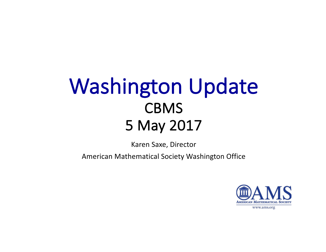# Washington Update CBMS 5 May 2017

Karen Saxe, Director

American Mathematical Society Washington Office 

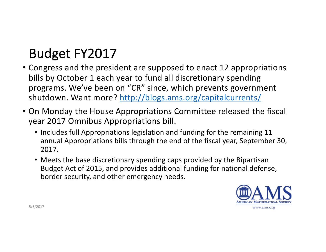# Budget FY2017

- Congress and the president are supposed to enact 12 appropriations bills by October 1 each year to fund all discretionary spending programs. We've been on "CR" since, which prevents government shutdown. Want more? http://blogs.ams.org/capitalcurrents/
- On Monday the House Appropriations Committee released the fiscal year 2017 Omnibus Appropriations bill.
	- Includes full Appropriations legislation and funding for the remaining 11 annual Appropriations bills through the end of the fiscal year, September 30, 2017.
	- Meets the base discretionary spending caps provided by the Bipartisan Budget Act of 2015, and provides additional funding for national defense, border security, and other emergency needs.

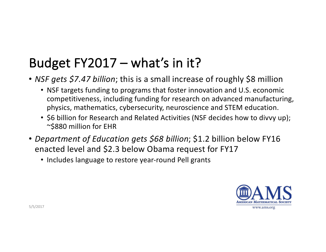# Budget  $FY2017 - what's$  in it?

- *NSF gets \$7.47 billion*; this is a small increase of roughly \$8 million
	- NSF targets funding to programs that foster innovation and U.S. economic competitiveness, including funding for research on advanced manufacturing, physics, mathematics, cybersecurity, neuroscience and STEM education.
	- \$6 billion for Research and Related Activities (NSF decides how to divvy up); ~\$880 million for EHR
- *Department of Education gets \$68 billion*; \$1.2 billion below FY16 enacted level and \$2.3 below Obama request for FY17
	- Includes language to restore year-round Pell grants

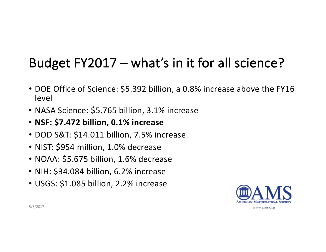# Budget  $FY2017 - what's$  in it for all science?

- DOE Office of Science: \$5.392 billion, a 0.8% increase above the FY16 level
- NASA Science: \$5.765 billion, 3.1% increase
- **NSF: \$7.472 billion, 0.1% increase**
- DOD S&T: \$14.011 billion, 7.5% increase
- NIST: \$954 million, 1.0% decrease
- NOAA: \$5.675 billion, 1.6% decrease
- NIH: \$34.084 billion, 6.2% increase
- USGS: \$1.085 billion, 2.2% increase

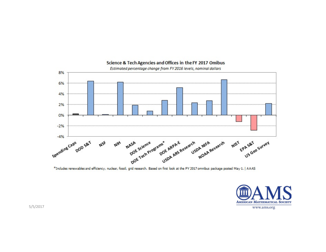

#### Science & Tech Agencies and Offices in the FY 2017 Omibus

\*Includes renewables and efficiency, nuclear, fossil, grid research. Based on first look at the FY 2017 omnibus package posted May 1. | AAAS

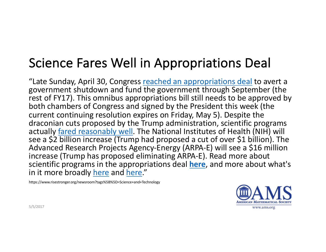## Science Fares Well in Appropriations Deal

"Late Sunday, April 30, Congress reached an appropriations deal to avert a government shutdown and fund the government through September (the rest of FY17). This omnibus appropriations bill still needs to be approved by both chambers of Congress and signed by the President this week (the current continuing resolution expires on Friday, May 5). Despite the draconian cuts proposed by the Trump administration, scientific programs actually fared reasonably well. The National Institutes of Health (NIH) will see a \$2 billion increase (Trump had proposed a cut of over \$1 billion). The Advanced Research Projects Agency-Energy (ARPA-E) will see a \$16 million increase (Trump has proposed eliminating ARPA-E). Read more about scientific programs in the appropriations deal **here**, and more about what's in it more broadly here and here."

https://www.risestronger.org/newsroom?tags%5B%5D=Science+and+Technology



www.ams.org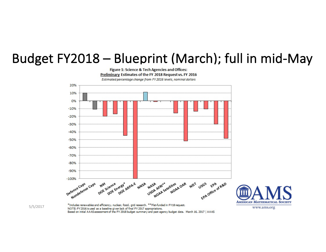#### Budget FY2018 - Blueprint (March); full in mid-May

Figure 1: Science & Tech Agencies and Offices: Preliminary Estimates of the FY 2018 Request vs. FY 2016 Estimated percentage change from FY 2016 levels, nominal dollars





NOTE: FY2016 is used as a baseline given lack of final FY 2017 appropriations. Based on initial AAAS assessment of the FY 2018 budget summary and past agency budget data. March 16, 2017 | AAAS

**AMERICAN MATHEMATICAL SOCIETY**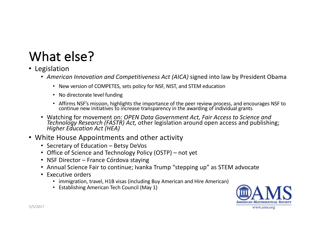# What else?

- Legislation
	- *American Innovation and Competitiveness Act (AICA)* signed into law by President Obama
		- New version of COMPETES, sets policy for NSF, NIST, and STEM education
		- No directorate level funding
		- Affirms NSF's mission, highlights the importance of the peer review process, and encourages NSF to continue new initiatives to increase transparency in the awarding of individual grants
	- Watching for movement on: *OPEN Data Government Act, Fair Access to Science and*<br>*Technology Research (FASTR) Act,* other legislation around open access and publishing; *Higher Education Act (HEA)*
- White House Appointments and other activity
	- Secretary of Education Betsy DeVos
	- Office of Science and Technology Policy (OSTP) not yet
	- NSF Director France Córdova staying
	- Annual Science Fair to continue; Ivanka Trump "stepping up" as STEM advocate
	- Executive orders
		- immigration, travel, H1B visas (including Buy American and Hire American)
		- Establishing American Tech Council (May 1)

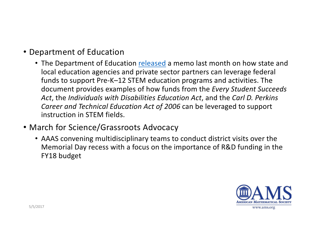- Department of Education
	- The Department of Education released a memo last month on how state and local education agencies and private sector partners can leverage federal funds to support Pre-K-12 STEM education programs and activities. The document provides examples of how funds from the *Every Student Succeeds* Act, the *Individuals* with Disabilities Education Act, and the Carl D. Perkins Career and Technical Education Act of 2006 can be leveraged to support instruction in STEM fields.
- March for Science/Grassroots Advocacy
	- AAAS convening multidisciplinary teams to conduct district visits over the Memorial Day recess with a focus on the importance of R&D funding in the FY18 budget

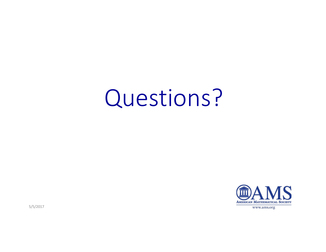# Questions?



5/5/2017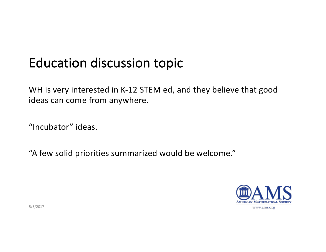#### Education discussion topic

WH is very interested in K-12 STEM ed, and they believe that good ideas can come from anywhere.

"Incubator" ideas.

"A few solid priorities summarized would be welcome."



5/5/2017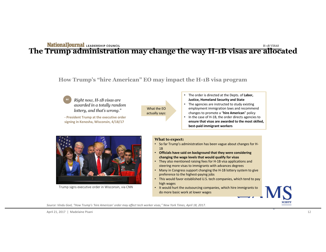#### **The Trump administration may change the way H-1B visas are allocated**

**How Trump's "hire American" EO may impact the H-1B visa program**

What the EO actually says:

*Right now, H-1B visas are awarded in a totally random lottery, and that's wrong."*  "

**- President Trump at the executive order**  signing in Kenosha, Wisconsin, 4/18/17

- The order is directed at the Depts. of Labor, **Justice, Homeland Security and State**
- The agencies are instructed to study existing employment immigration laws and recommend changes to promote a "hire American" policy
- In the case of H-1B, the order directs agencies to ensure that visas are awarded to the most skilled, **best-paid immigrant workers**



Trump signs executive order in Wisconsin, via CNN

#### **What to expect:**

- So far Trump's administration has been vague about changes for H-1B
- Officials have said on background that they were considering changing the wage levels that would qualify for visas
- They also mentioned raising fees for H-1B visa applications and steering more visas to immigrants with advances degrees
- Many in Congress support changing the H-1B lottery system to give preference to the highest-paying jobs
- This would favor established U.S. tech companies, which tend to pay high wages
- It would hurt the outsourcing companies, which hire immigrants to do more basic work at lower wages

Source: Vindu Goel, "How Trump's 'hire American' order may affect tech worker visas," New York Times, April 18, 2017.

**MS**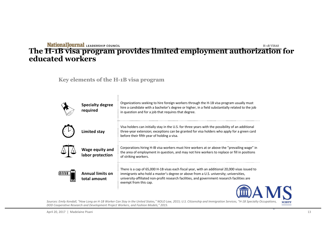#### **The H-1B visa program provides limited employment authorization for educated workers**

**Key elements of the H-1B visa program**



Sources: Emily Kendall, "How Long an H-1B Worker Can Stay in the United States," NOLO Law, 2015; U.S. Citizenship and Immigration Services, "H-1B Specialty Occupations, *DOD Cooperative Research and Development Project Workers, and Fashion Models,"* 2015.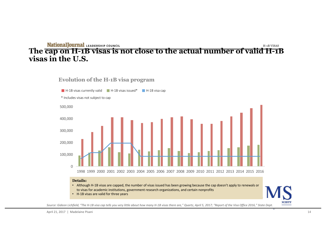#### **The cap on H-1B visas is not close to the actual number of valid H-1B visas in the U.S.**

**Evolution of the H-1B visa program**



Source: Gideon Lichfield, "The H-1B visa cap tells you very little about how many H-1B visas there are," Quartz, April 5, 2017; "Report of the Visa Office 2016," State Dept.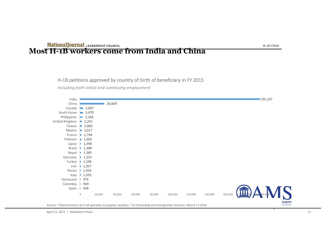### **Mational Journal LEADERSHIP COUNCIL**<br>Most H-1B workers come from India and China

#### H-1B petitions approved by country of birth of beneficiary in FY 2015

*Including both initial and continuing employment* 

| India                       |                |                |        |        |        |        |         |         |         |         | 195,247      |
|-----------------------------|----------------|----------------|--------|--------|--------|--------|---------|---------|---------|---------|--------------|
| China                       |                |                |        | 26,669 |        |        |         |         |         |         |              |
| Canada                      | $\blacksquare$ | 3,607          |        |        |        |        |         |         |         |         |              |
| South Korea                 |                | $\equiv 3,470$ |        |        |        |        |         |         |         |         |              |
| Philippines                 | m.             | 3,146          |        |        |        |        |         |         |         |         |              |
| United Kingdom 2,241        |                |                |        |        |        |        |         |         |         |         |              |
| Taiwan $\blacksquare$ 2,060 |                |                |        |        |        |        |         |         |         |         |              |
| Mexico <b>2,017</b>         |                |                |        |        |        |        |         |         |         |         |              |
| France                      |                | 1,794          |        |        |        |        |         |         |         |         |              |
| Pakistan                    | D.             | 1,602          |        |        |        |        |         |         |         |         |              |
| Japan                       |                | 1,398          |        |        |        |        |         |         |         |         |              |
| Brazil                      |                | 1,388          |        |        |        |        |         |         |         |         |              |
| Nepal                       |                | 1,385          |        |        |        |        |         |         |         |         |              |
| Germany                     | ш              | 1,325          |        |        |        |        |         |         |         |         |              |
| Turkey                      |                | 1,196          |        |        |        |        |         |         |         |         |              |
| Iran                        | ш              | 1,057          |        |        |        |        |         |         |         |         |              |
| Russia                      |                | 1,056          |        |        |        |        |         |         |         |         |              |
| Italy                       |                | 1,035          |        |        |        |        |         |         |         |         |              |
| Venezuela                   |                | 976            |        |        |        |        |         |         |         |         |              |
| Colombia                    |                | 949            |        |        |        |        |         |         |         |         |              |
| Spain                       |                | 938            |        |        |        |        |         |         |         |         |              |
|                             | $\mathbb O$    |                | 20,000 | 40,000 | 60,000 | 80,000 | 100,000 | 120,000 | 140,000 | 160,000 | S            |
|                             |                |                |        |        |        |        |         |         |         |         |              |
|                             |                |                |        |        |        |        |         |         |         |         | <b>CIETY</b> |